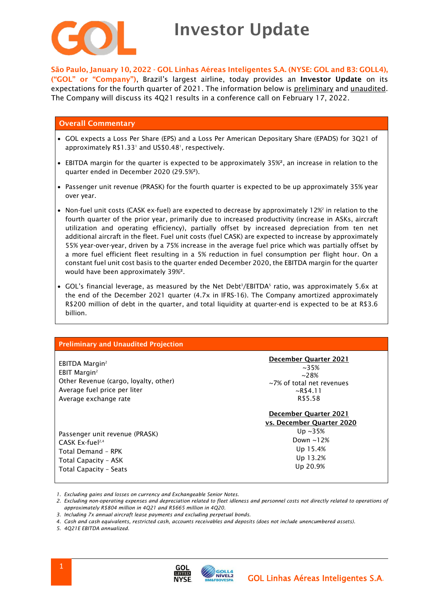

## Investor Update

São Paulo, January 10, 2022 - GOL Linhas Aéreas Inteligentes S.A. (NYSE: GOL and B3: GOLL4), ("GOL" or "Company"), Brazil's largest airline, today provides an Investor Update on its expectations for the fourth quarter of 2021. The information below is preliminary and unaudited. The Company will discuss its 4Q21 results in a conference call on February 17, 2022.

### Overall Commentary

- GOL expects a Loss Per Share (EPS) and a Loss Per American Depositary Share (EPADS) for 3Q21 of approximately  $R$1.33'$  and US\$0.48', respectively.
- EBITDA margin for the quarter is expected to be approximately 35%², an increase in relation to the quarter ended in December 2020 (29.5%²).
- Passenger unit revenue (PRASK) for the fourth quarter is expected to be up approximately 35% year over year.
- $\bullet~$  Non-fuel unit costs (CASK ex-fuel) are expected to decrease by approximately 12% $^{\circ}$  in relation to the fourth quarter of the prior year, primarily due to increased productivity (increase in ASKs, aircraft utilization and operating efficiency), partially offset by increased depreciation from ten net additional aircraft in the fleet. Fuel unit costs (fuel CASK) are expected to increase by approximately 55% year-over-year, driven by a 75% increase in the average fuel price which was partially offset by a more fuel efficient fleet resulting in a 5% reduction in fuel consumption per flight hour. On a constant fuel unit cost basis to the quarter ended December 2020, the EBITDA margin for the quarter would have been approximately 39%².
- GOL's financial leverage, as measured by the Net Debt $^3$ /EBITDA $^5$  ratio, was approximately 5.6x at the end of the December 2021 quarter (4.7x in IFRS-16). The Company amortized approximately R\$200 million of debt in the quarter, and total liquidity at quarter-end is expected to be at R\$3.6 billion.

| <b>Preliminary and Unaudited Projection</b>                                                                                                              |                                                                                                                            |
|----------------------------------------------------------------------------------------------------------------------------------------------------------|----------------------------------------------------------------------------------------------------------------------------|
| EBITDA Margin <sup>2</sup><br>EBIT Margin <sup>2</sup><br>Other Revenue (cargo, loyalty, other)<br>Average fuel price per liter<br>Average exchange rate | December Quarter 2021<br>$~1.35\%$<br>$~28\%$<br>~7% of total net revenues<br>$~\sim$ R\$4.11<br>R\$5.58                   |
| Passenger unit revenue (PRASK)<br>CASK Ex-fuel <sup>2,4</sup><br>Total Demand - RPK<br>Total Capacity - ASK<br>Total Capacity - Seats                    | December Quarter 2021<br>vs. December Quarter 2020<br>Up $\sim$ 35%<br>Down $\sim$ 12%<br>Up 15.4%<br>Up 13.2%<br>Up 20.9% |

*1. Excluding gains and losses on currency and Exchangeable Senior Notes.*

*2. Excluding non-operating expenses and depreciation related to fleet idleness and personnel costs not directly related to operations of approximately R\$804 million in 4Q21 and R\$665 million in 4Q20.*

*4. Cash and cash equivalents, restricted cash, accounts receivables and deposits (does not include unencumbered assets).*

*5. 4Q21E EBITDA annualized.*



*<sup>3.</sup> Including 7x annual aircraft lease payments and excluding perpetual bonds.*